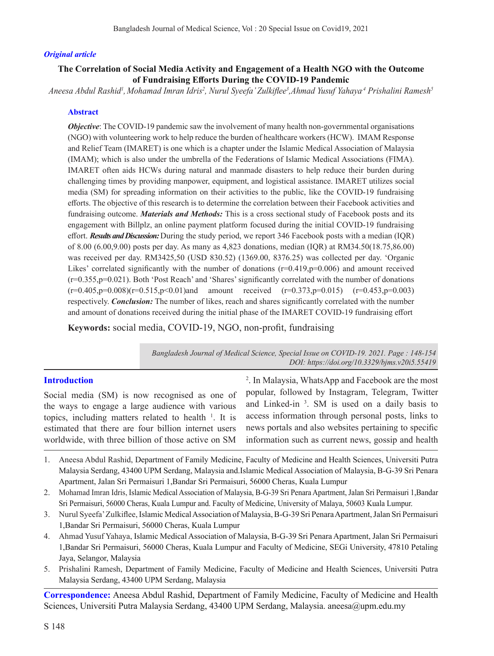### *Original article*

# **The Correlation of Social Media Activity and Engagement of a Health NGO with the Outcome of Fundraising Efforts During the COVID-19 Pandemic**

*Aneesa Abdul Rashid1 , Mohamad Imran Idris2 , Nurul Syeefa' Zulkiflee<sup>3</sup> ,Ahmad Yusuf Yahaya,4 Prishalini Ramesh5*

### **Abstract**

*Objective*: The COVID-19 pandemic saw the involvement of many health non-governmental organisations (NGO) with volunteering work to help reduce the burden of healthcare workers (HCW). IMAM Response and Relief Team (IMARET) is one which is a chapter under the Islamic Medical Association of Malaysia (IMAM); which is also under the umbrella of the Federations of Islamic Medical Associations (FIMA). IMARET often aids HCWs during natural and manmade disasters to help reduce their burden during challenging times by providing manpower, equipment, and logistical assistance. IMARET utilizes social media (SM) for spreading information on their activities to the public, like the COVID-19 fundraising efforts. The objective of this research is to determine the correlation between their Facebook activities and fundraising outcome. *Materials and Methods:* This is a cross sectional study of Facebook posts and its engagement with Billplz, an online payment platform focused during the initial COVID-19 fundraising effort. *Results and Discussion:* During the study period, we report 346 Facebook posts with a median (IQR) of 8.00 (6.00,9.00) posts per day. As many as 4,823 donations, median (IQR) at RM34.50(18.75,86.00) was received per day. RM3425,50 (USD 830.52) (1369.00, 8376.25) was collected per day. 'Organic Likes' correlated significantly with the number of donations  $(r=0.419, p=0.006)$  and amount received (r=0.355,p=0.021). Both 'Post Reach' and 'Shares' significantly correlated with the number of donations  $(r=0.405, p=0.008)(r=0.515, p<0.01)$  and amount received  $(r=0.373, p=0.015)$   $(r=0.453, p=0.003)$ respectively. *Conclusion:* The number of likes, reach and shares significantly correlated with the number and amount of donations received during the initial phase of the IMARET COVID-19 fundraising effort

**Keywords:** social media, COVID-19, NGO, non-profit, fundraising

*Bangladesh Journal of Medical Science, Special Issue on COVID-19. 2021. Page : 148-154 DOI: https://doi.org/10.3329/bjms.v20i5.55419* 

## **Introduction**

Social media (SM) is now recognised as one of the ways to engage a large audience with various topics, including matters related to health  $\frac{1}{1}$ . It is estimated that there are four billion internet users worldwide, with three billion of those active on SM

2 . In Malaysia, WhatsApp and Facebook are the most popular, followed by Instagram, Telegram, Twitter and Linked-in 3 . SM is used on a daily basis to access information through personal posts, links to news portals and also websites pertaining to specific information such as current news, gossip and health

- 1. Aneesa Abdul Rashid, Department of Family Medicine, Faculty of Medicine and Health Sciences, Universiti Putra Malaysia Serdang, 43400 UPM Serdang, Malaysia and.Islamic Medical Association of Malaysia, B-G-39 Sri Penara Apartment, Jalan Sri Permaisuri 1,Bandar Sri Permaisuri, 56000 Cheras, Kuala Lumpur
- 2. Mohamad Imran Idris, Islamic Medical Association of Malaysia, B-G-39 Sri Penara Apartment, Jalan Sri Permaisuri 1,Bandar Sri Permaisuri, 56000 Cheras, Kuala Lumpur and. Faculty of Medicine, University of Malaya, 50603 Kuala Lumpur.
- 3. Nurul Syeefa' Zulkiflee, Islamic Medical Association of Malaysia, B-G-39 Sri Penara Apartment, Jalan Sri Permaisuri 1,Bandar Sri Permaisuri, 56000 Cheras, Kuala Lumpur
- 4. Ahmad Yusuf Yahaya, Islamic Medical Association of Malaysia, B-G-39 Sri Penara Apartment, Jalan Sri Permaisuri 1,Bandar Sri Permaisuri, 56000 Cheras, Kuala Lumpur and Faculty of Medicine, SEGi University, 47810 Petaling Jaya, Selangor, Malaysia
- 5. Prishalini Ramesh, Department of Family Medicine, Faculty of Medicine and Health Sciences, Universiti Putra Malaysia Serdang, 43400 UPM Serdang, Malaysia

**Correspondence:** Aneesa Abdul Rashid, Department of Family Medicine, Faculty of Medicine and Health Sciences, Universiti Putra Malaysia Serdang, 43400 UPM Serdang, Malaysia. aneesa@upm.edu.my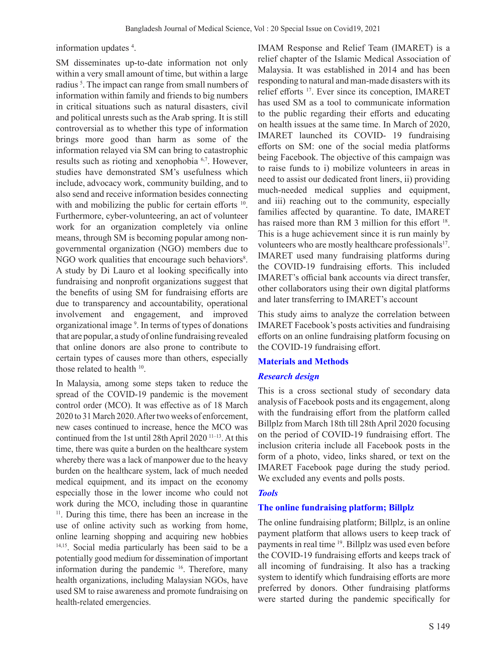information updates 4 .

SM disseminates up-to-date information not only within a very small amount of time, but within a large radius<sup>5</sup>. The impact can range from small numbers of information within family and friends to big numbers in critical situations such as natural disasters, civil and political unrests such as the Arab spring. It is still controversial as to whether this type of information brings more good than harm as some of the information relayed via SM can bring to catastrophic results such as rioting and xenophobia 6,7. However, studies have demonstrated SM's usefulness which include, advocacy work, community building, and to also send and receive information besides connecting with and mobilizing the public for certain efforts <sup>10</sup>. Furthermore, cyber-volunteering, an act of volunteer work for an organization completely via online means, through SM is becoming popular among nongovernmental organization (NGO) members due to NGO work qualities that encourage such behaviors<sup>8</sup>. A study by Di Lauro et al looking specifically into fundraising and nonprofit organizations suggest that the benefits of using SM for fundraising efforts are due to transparency and accountability, operational involvement and engagement, and improved organizational image 9 . In terms of types of donations that are popular, a study of online fundraising revealed that online donors are also prone to contribute to certain types of causes more than others, especially those related to health <sup>10</sup>.

In Malaysia, among some steps taken to reduce the spread of the COVID-19 pandemic is the movement control order (MCO). It was effective as of 18 March 2020 to 31 March 2020. After two weeks of enforcement, new cases continued to increase, hence the MCO was continued from the 1st until 28th April 2020<sup>11-13</sup>. At this time, there was quite a burden on the healthcare system whereby there was a lack of manpower due to the heavy burden on the healthcare system, lack of much needed medical equipment, and its impact on the economy especially those in the lower income who could not work during the MCO, including those in quarantine <sup>11</sup>. During this time, there has been an increase in the use of online activity such as working from home, online learning shopping and acquiring new hobbies 14,15. Social media particularly has been said to be a potentially good medium for dissemination of important information during the pandemic <sup>16</sup>. Therefore, many health organizations, including Malaysian NGOs, have used SM to raise awareness and promote fundraising on health-related emergencies.

IMAM Response and Relief Team (IMARET) is a relief chapter of the Islamic Medical Association of Malaysia. It was established in 2014 and has been responding to natural and man-made disasters with its relief efforts 17. Ever since its conception, IMARET has used SM as a tool to communicate information to the public regarding their efforts and educating on health issues at the same time. In March of 2020, IMARET launched its COVID- 19 fundraising efforts on SM: one of the social media platforms being Facebook. The objective of this campaign was to raise funds to i) mobilize volunteers in areas in need to assist our dedicated front liners, ii) providing much-needed medical supplies and equipment, and iii) reaching out to the community, especially families affected by quarantine. To date, IMARET has raised more than RM 3 million for this effort <sup>18</sup>. This is a huge achievement since it is run mainly by volunteers who are mostly healthcare professionals<sup>17</sup>. IMARET used many fundraising platforms during the COVID-19 fundraising efforts. This included IMARET's official bank accounts via direct transfer, other collaborators using their own digital platforms and later transferring to IMARET's account

This study aims to analyze the correlation between IMARET Facebook's posts activities and fundraising efforts on an online fundraising platform focusing on the COVID-19 fundraising effort.

## **Materials and Methods**

## *Research design*

This is a cross sectional study of secondary data analysis of Facebook posts and its engagement, along with the fundraising effort from the platform called Billplz from March 18th till 28th April 2020 focusing on the period of COVID-19 fundraising effort. The inclusion criteria include all Facebook posts in the form of a photo, video, links shared, or text on the IMARET Facebook page during the study period. We excluded any events and polls posts.

### *Tools*

### **The online fundraising platform; Billplz**

The online fundraising platform; Billplz, is an online payment platform that allows users to keep track of payments in real time 19. Billplz was used even before the COVID-19 fundraising efforts and keeps track of all incoming of fundraising. It also has a tracking system to identify which fundraising efforts are more preferred by donors. Other fundraising platforms were started during the pandemic specifically for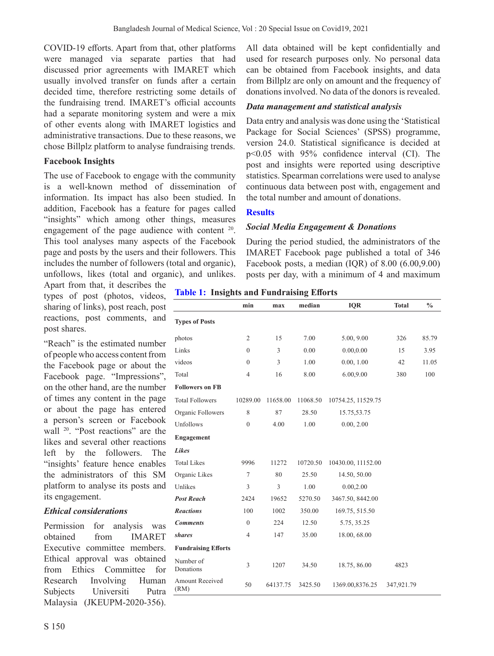COVID-19 efforts. Apart from that, other platforms were managed via separate parties that had discussed prior agreements with IMARET which usually involved transfer on funds after a certain decided time, therefore restricting some details of the fundraising trend. IMARET's official accounts had a separate monitoring system and were a mix of other events along with IMARET logistics and administrative transactions. Due to these reasons, we chose Billplz platform to analyse fundraising trends.

# **Facebook Insights**

The use of Facebook to engage with the community is a well-known method of dissemination of information. Its impact has also been studied. In addition, Facebook has a feature for pages called "insights" which among other things, measures engagement of the page audience with content <sup>20</sup>. This tool analyses many aspects of the Facebook page and posts by the users and their followers. This includes the number of followers (total and organic), unfollows, likes (total and organic), and unlikes.

Apart from that, it describes the types of post (photos, videos, sharing of links), post reach, post reactions, post comments, and post shares.

"Reach" is the estimated number of people who access content from the Facebook page or about the Facebook page. "Impressions", on the other hand, are the number of times any content in the page or about the page has entered a person's screen or Facebook wall 20. "Post reactions" are the likes and several other reactions left by the followers. The "insights' feature hence enables the administrators of this SM platform to analyse its posts and its engagement.

## *Ethical considerations*

Permission for analysis was obtained from IMARET Executive committee members. Ethical approval was obtained from Ethics Committee for Research Involving Human Subjects Universiti Putra Malaysia (JKEUPM-2020-356).

All data obtained will be kept confidentially and used for research purposes only. No personal data can be obtained from Facebook insights, and data from Billplz are only on amount and the frequency of donations involved. No data of the donors is revealed.

# *Data management and statistical analysis*

Data entry and analysis was done using the 'Statistical Package for Social Sciences' (SPSS) programme, version 24.0. Statistical significance is decided at p<0.05 with 95% confidence interval (CI). The post and insights were reported using descriptive statistics. Spearman correlations were used to analyse continuous data between post with, engagement and the total number and amount of donations.

# **Results**

## *Social Media Engagement & Donations*

During the period studied, the administrators of the IMARET Facebook page published a total of 346 Facebook posts, a median (IQR) of 8.00 (6.00,9.00) posts per day, with a minimum of 4 and maximum

## **Table 1: Insights and Fundraising Efforts**

|                                | min            | max      | median   | <b>IQR</b>         | <b>Total</b> | $\frac{0}{0}$ |
|--------------------------------|----------------|----------|----------|--------------------|--------------|---------------|
| <b>Types of Posts</b>          |                |          |          |                    |              |               |
| photos                         | $\overline{2}$ | 15       | 7.00     | 5.00, 9.00         | 326          | 85.79         |
| Links                          | $\mathbf{0}$   | 3        | 0.00     | 0.00, 0.00         | 15           | 3.95          |
| videos                         | $\theta$       | 3        | 1.00     | 0.00, 1.00         | 42           | 11.05         |
| Total                          | $\overline{4}$ | 16       | 8.00     | 6.00,9.00          | 380          | 100           |
| <b>Followers on FB</b>         |                |          |          |                    |              |               |
| <b>Total Followers</b>         | 10289.00       | 11658.00 | 11068.50 | 10754.25, 11529.75 |              |               |
| Organic Followers              | 8              | 87       | 28.50    | 15.75,53.75        |              |               |
| Unfollows                      | $\theta$       | 4.00     | 1.00     | 0.00, 2.00         |              |               |
| Engagement                     |                |          |          |                    |              |               |
| <b>Likes</b>                   |                |          |          |                    |              |               |
| <b>Total Likes</b>             | 9996           | 11272    | 10720.50 | 10430.00, 11152.00 |              |               |
| Organic Likes                  | $\tau$         | 80       | 25.50    | 14.50, 50.00       |              |               |
| Unlikes                        | 3              | 3        | 1.00     | 0.00, 2.00         |              |               |
| <b>Post Reach</b>              | 2424           | 19652    | 5270.50  | 3467.50, 8442.00   |              |               |
| <b>Reactions</b>               | 100            | 1002     | 350.00   | 169.75, 515.50     |              |               |
| <b>Comments</b>                | $\mathbf{0}$   | 224      | 12.50    | 5.75, 35.25        |              |               |
| shares                         | $\overline{4}$ | 147      | 35.00    | 18.00, 68.00       |              |               |
| <b>Fundraising Efforts</b>     |                |          |          |                    |              |               |
| Number of<br>Donations         | 3              | 1207     | 34.50    | 18.75, 86.00       | 4823         |               |
| <b>Amount Received</b><br>(RM) | 50             | 64137.75 | 3425.50  | 1369.00,8376.25    | 347,921.79   |               |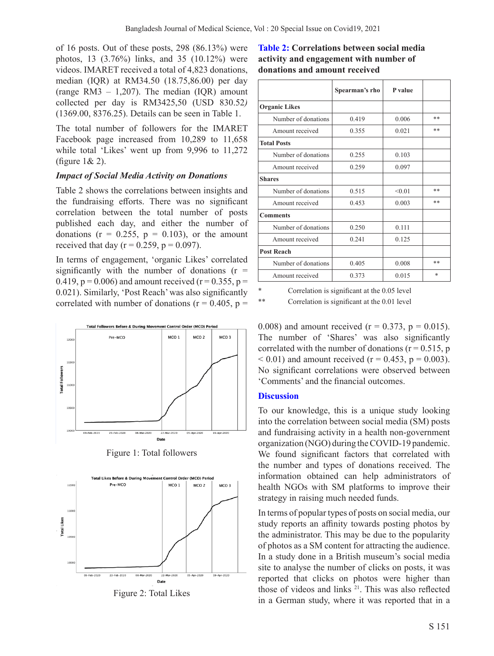of 16 posts. Out of these posts, 298 (86.13%) were photos, 13 (3.76%) links, and 35 (10.12%) were videos. IMARET received a total of 4,823 donations, median (IQR) at RM34.50 (18.75,86.00) per day (range RM3  $-$  1,207). The median (IQR) amount collected per day is RM3425,50 (USD 830.52*)* (1369.00, 8376.25). Details can be seen in Table 1.

The total number of followers for the IMARET Facebook page increased from 10,289 to 11,658 while total 'Likes' went up from 9,996 to 11,272 (figure 1& 2).

# *Impact of Social Media Activity on Donations*

Table 2 shows the correlations between insights and the fundraising efforts. There was no significant correlation between the total number of posts published each day, and either the number of donations ( $r = 0.255$ ,  $p = 0.103$ ), or the amount received that day ( $r = 0.259$ ,  $p = 0.097$ ).

In terms of engagement, 'organic Likes' correlated significantly with the number of donations  $(r =$ 0.419,  $p = 0.006$ ) and amount received ( $r = 0.355$ ,  $p =$ 0.021). Similarly, 'Post Reach' was also significantly correlated with number of donations ( $r = 0.405$ ,  $p =$ 



Figure 1: Total followers



Figure 2: Total Likes

# **Table 2: Correlations between social media activity and engagement with number of donations and amount received**

|                      | Spearman's rho | P value |    |
|----------------------|----------------|---------|----|
| <b>Organic Likes</b> |                |         |    |
| Number of donations  | 0.419          | 0.006   | ** |
| Amount received      | 0.355          | 0.021   | ** |
| <b>Total Posts</b>   |                |         |    |
| Number of donations  | 0.255          | 0.103   |    |
| Amount received      | 0.259          | 0.097   |    |
| <b>Shares</b>        |                |         |    |
| Number of donations  | 0.515          | < 0.01  | ** |
| Amount received      | 0.453          | 0.003   | ** |
| <b>Comments</b>      |                |         |    |
| Number of donations  | 0.250          | 0.111   |    |
| Amount received      | 0.241          | 0.125   |    |
| <b>Post Reach</b>    |                |         |    |
| Number of donations  | 0.405          | 0.008   | ** |
| Amount received      | 0.373          | 0.015   | *  |

Correlation is significant at the 0.05 level

\*\* Correlation is significant at the 0.01 level

0.008) and amount received ( $r = 0.373$ ,  $p = 0.015$ ). The number of 'Shares' was also significantly correlated with the number of donations ( $r = 0.515$ , p  $(6.01)$  and amount received (r = 0.453, p = 0.003). No significant correlations were observed between 'Comments' and the financial outcomes.

## **Discussion**

To our knowledge, this is a unique study looking into the correlation between social media (SM) posts and fundraising activity in a health non-government organization (NGO) during the COVID-19 pandemic. We found significant factors that correlated with the number and types of donations received. The information obtained can help administrators of health NGOs with SM platforms to improve their strategy in raising much needed funds.

In terms of popular types of posts on social media, our study reports an affinity towards posting photos by the administrator. This may be due to the popularity of photos as a SM content for attracting the audience. In a study done in a British museum's social media site to analyse the number of clicks on posts, it was reported that clicks on photos were higher than those of videos and links <sup>21</sup>. This was also reflected in a German study, where it was reported that in a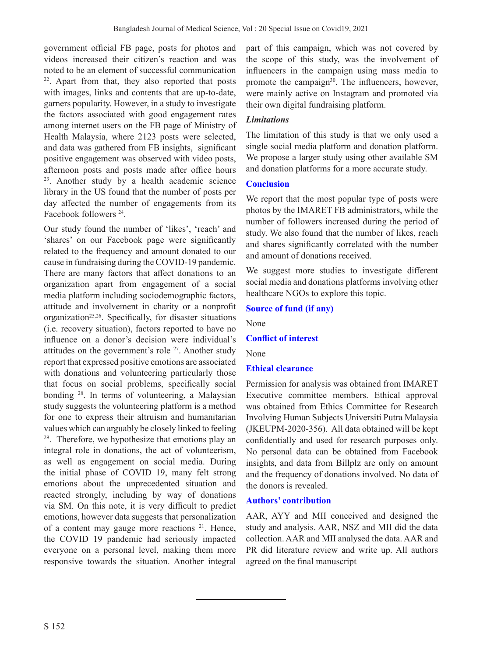government official FB page, posts for photos and videos increased their citizen's reaction and was noted to be an element of successful communication 22. Apart from that, they also reported that posts with images, links and contents that are up-to-date, garners popularity. However, in a study to investigate the factors associated with good engagement rates among internet users on the FB page of Ministry of Health Malaysia, where 2123 posts were selected, and data was gathered from FB insights, significant positive engagement was observed with video posts, afternoon posts and posts made after office hours <sup>23</sup>. Another study by a health academic science library in the US found that the number of posts per day affected the number of engagements from its Facebook followers 24.

Our study found the number of 'likes', 'reach' and 'shares' on our Facebook page were significantly related to the frequency and amount donated to our cause in fundraising during the COVID-19 pandemic. There are many factors that affect donations to an organization apart from engagement of a social media platform including sociodemographic factors, attitude and involvement in charity or a nonprofit organization<sup>25,26</sup>. Specifically, for disaster situations (i.e. recovery situation), factors reported to have no influence on a donor's decision were individual's attitudes on the government's role  $27$ . Another study report that expressed positive emotions are associated with donations and volunteering particularly those that focus on social problems, specifically social bonding 28. In terms of volunteering, a Malaysian study suggests the volunteering platform is a method for one to express their altruism and humanitarian values which can arguably be closely linked to feeling <sup>29</sup>. Therefore, we hypothesize that emotions play an integral role in donations, the act of volunteerism, as well as engagement on social media. During the initial phase of COVID 19, many felt strong emotions about the unprecedented situation and reacted strongly, including by way of donations via SM. On this note, it is very difficult to predict emotions, however data suggests that personalization of a content may gauge more reactions <sup>21</sup>. Hence, the COVID 19 pandemic had seriously impacted everyone on a personal level, making them more responsive towards the situation. Another integral

part of this campaign, which was not covered by the scope of this study, was the involvement of influencers in the campaign using mass media to promote the campaign<sup>30</sup>. The influencers, however, were mainly active on Instagram and promoted via their own digital fundraising platform.

# *Limitations*

The limitation of this study is that we only used a single social media platform and donation platform. We propose a larger study using other available SM and donation platforms for a more accurate study.

# **Conclusion**

We report that the most popular type of posts were photos by the IMARET FB administrators, while the number of followers increased during the period of study. We also found that the number of likes, reach and shares significantly correlated with the number and amount of donations received.

We suggest more studies to investigate different social media and donations platforms involving other healthcare NGOs to explore this topic.

# **Source of fund (if any)**

None

# **Conflict of interest**

None

# **Ethical clearance**

Permission for analysis was obtained from IMARET Executive committee members. Ethical approval was obtained from Ethics Committee for Research Involving Human Subjects Universiti Putra Malaysia (JKEUPM-2020-356). All data obtained will be kept confidentially and used for research purposes only. No personal data can be obtained from Facebook insights, and data from Billplz are only on amount and the frequency of donations involved. No data of the donors is revealed.

# **Authors' contribution**

AAR, AYY and MII conceived and designed the study and analysis. AAR, NSZ and MII did the data collection. AAR and MII analysed the data. AAR and PR did literature review and write up. All authors agreed on the final manuscript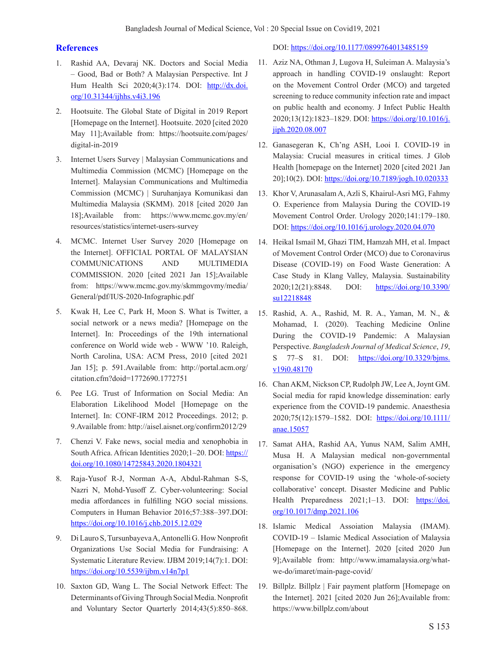#### **References**

- 1. Rashid AA, Devaraj NK. Doctors and Social Media – Good, Bad or Both? A Malaysian Perspective. Int J Hum Health Sci 2020;4(3):174. DOI: http://dx.doi. org/10.31344/ijhhs.v4i3.196
- 2. Hootsuite. The Global State of Digital in 2019 Report [Homepage on the Internet]. Hootsuite. 2020 [cited 2020 May 11];Available from: https://hootsuite.com/pages/ digital-in-2019
- 3. Internet Users Survey | Malaysian Communications and Multimedia Commission (MCMC) [Homepage on the Internet]. Malaysian Communications and Multimedia Commission (MCMC) | Suruhanjaya Komunikasi dan Multimedia Malaysia (SKMM). 2018 [cited 2020 Jan 18];Available from: https://www.mcmc.gov.my/en/ resources/statistics/internet-users-survey
- 4. MCMC. Internet User Survey 2020 [Homepage on the Internet]. OFFICIAL PORTAL OF MALAYSIAN COMMUNICATIONS AND MULTIMEDIA COMMISSION. 2020 [cited 2021 Jan 15];Available from: https://www.mcmc.gov.my/skmmgovmy/media/ General/pdf/IUS-2020-Infographic.pdf
- 5. Kwak H, Lee C, Park H, Moon S. What is Twitter, a social network or a news media? [Homepage on the Internet]. In: Proceedings of the 19th international conference on World wide web - WWW '10. Raleigh, North Carolina, USA: ACM Press, 2010 [cited 2021 Jan 15]; p. 591.Available from: http://portal.acm.org/ citation.cfm?doid=1772690.1772751
- 6. Pee LG. Trust of Information on Social Media: An Elaboration Likelihood Model [Homepage on the Internet]. In: CONF-IRM 2012 Proceedings. 2012; p. 9.Available from: http://aisel.aisnet.org/confirm2012/29
- 7. Chenzi V. Fake news, social media and xenophobia in South Africa. African Identities 2020;1–20. DOI: https:// doi.org/10.1080/14725843.2020.1804321
- 8. Raja-Yusof R-J, Norman A-A, Abdul-Rahman S-S, Nazri N, Mohd-Yusoff Z. Cyber-volunteering: Social media affordances in fulfilling NGO social missions. Computers in Human Behavior 2016;57:388–397.DOI: https://doi.org/10.1016/j.chb.2015.12.029
- 9. Di Lauro S, Tursunbayeva A, Antonelli G. How Nonprofit Organizations Use Social Media for Fundraising: A Systematic Literature Review. IJBM 2019;14(7):1. DOI: https://doi.org/10.5539/ijbm.v14n7p1
- 10. Saxton GD, Wang L. The Social Network Effect: The Determinants of Giving Through Social Media. Nonprofit and Voluntary Sector Quarterly 2014;43(5):850–868.

DOI: https://doi.org/10.1177/0899764013485159

- 11. Aziz NA, Othman J, Lugova H, Suleiman A. Malaysia's approach in handling COVID-19 onslaught: Report on the Movement Control Order (MCO) and targeted screening to reduce community infection rate and impact on public health and economy. J Infect Public Health 2020;13(12):1823–1829. DOI: https://doi.org/10.1016/j. jiph.2020.08.007
- 12. Ganasegeran K, Ch'ng ASH, Looi I. COVID-19 in Malaysia: Crucial measures in critical times. J Glob Health [homepage on the Internet] 2020 [cited 2021 Jan 20];10(2). DOI: https://doi.org/10.7189/jogh.10.020333
- 13. Khor V, Arunasalam A, Azli S, Khairul-Asri MG, Fahmy O. Experience from Malaysia During the COVID-19 Movement Control Order. Urology 2020;141:179–180. DOI: https://doi.org/10.1016/j.urology.2020.04.070
- 14. Heikal Ismail M, Ghazi TIM, Hamzah MH, et al. Impact of Movement Control Order (MCO) due to Coronavirus Disease (COVID-19) on Food Waste Generation: A Case Study in Klang Valley, Malaysia. Sustainability 2020;12(21):8848. DOI: https://doi.org/10.3390/ su12218848
- 15. Rashid, A. A., Rashid, M. R. A., Yaman, M. N., & Mohamad, I. (2020). Teaching Medicine Online During the COVID-19 Pandemic: A Malaysian Perspective. *Bangladesh Journal of Medical Science*, *19*, S 77–S 81. DOI: https://doi.org/10.3329/bjms. v19i0.48170
- 16. Chan AKM, Nickson CP, Rudolph JW, Lee A, Joynt GM. Social media for rapid knowledge dissemination: early experience from the COVID-19 pandemic. Anaesthesia 2020;75(12):1579-1582. DOI: https://doi.org/10.1111/ anae.15057
- 17. Samat AHA, Rashid AA, Yunus NAM, Salim AMH, Musa H. A Malaysian medical non-governmental organisation's (NGO) experience in the emergency response for COVID-19 using the 'whole-of-society collaborative' concept. Disaster Medicine and Public Health Preparedness 2021;1-13. DOI: https://doi. org/10.1017/dmp.2021.106
- 18. Islamic Medical Assoiation Malaysia (IMAM). COVID-19 – Islamic Medical Association of Malaysia [Homepage on the Internet]. 2020 [cited 2020 Jun 9];Available from: http://www.imamalaysia.org/whatwe-do/imaret/main-page-covid/
- 19. Billplz. Billplz | Fair payment platform [Homepage on the Internet]. 2021 [cited 2020 Jun 26];Available from: https://www.billplz.com/about